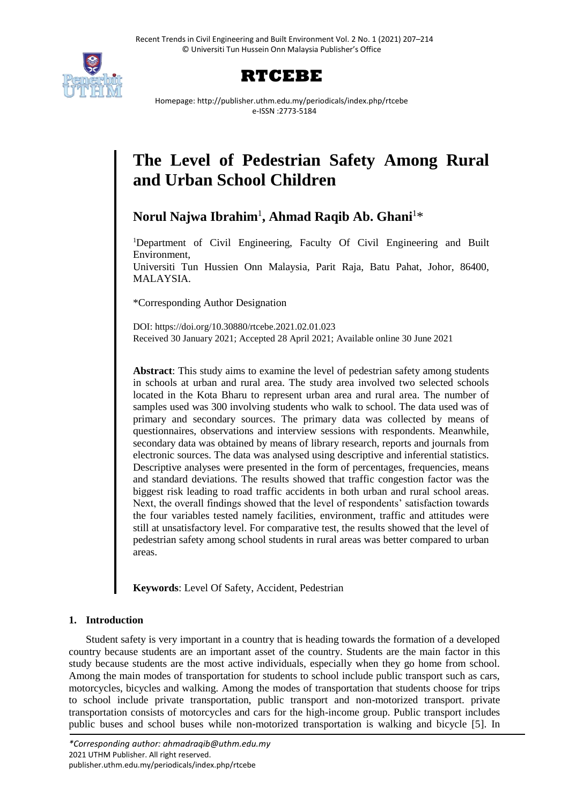



Homepage: http://publisher.uthm.edu.my/periodicals/index.php/rtcebe e-ISSN :2773-5184

# **The Level of Pedestrian Safety Among Rural and Urban School Children**

**Norul Najwa Ibrahim**<sup>1</sup> **, Ahmad Raqib Ab. Ghani**<sup>1</sup>\*

<sup>1</sup>Department of Civil Engineering, Faculty Of Civil Engineering and Built Environment,

Universiti Tun Hussien Onn Malaysia, Parit Raja, Batu Pahat, Johor, 86400, MALAYSIA.

\*Corresponding Author Designation

DOI: https://doi.org/10.30880/rtcebe.2021.02.01.023 Received 30 January 2021; Accepted 28 April 2021; Available online 30 June 2021

**Abstract**: This study aims to examine the level of pedestrian safety among students in schools at urban and rural area. The study area involved two selected schools located in the Kota Bharu to represent urban area and rural area. The number of samples used was 300 involving students who walk to school. The data used was of primary and secondary sources. The primary data was collected by means of questionnaires, observations and interview sessions with respondents. Meanwhile, secondary data was obtained by means of library research, reports and journals from electronic sources. The data was analysed using descriptive and inferential statistics. Descriptive analyses were presented in the form of percentages, frequencies, means and standard deviations. The results showed that traffic congestion factor was the biggest risk leading to road traffic accidents in both urban and rural school areas. Next, the overall findings showed that the level of respondents' satisfaction towards the four variables tested namely facilities, environment, traffic and attitudes were still at unsatisfactory level. For comparative test, the results showed that the level of pedestrian safety among school students in rural areas was better compared to urban areas.

**Keywords**: Level Of Safety, Accident, Pedestrian

# **1. Introduction**

Student safety is very important in a country that is heading towards the formation of a developed country because students are an important asset of the country. Students are the main factor in this study because students are the most active individuals, especially when they go home from school. Among the main modes of transportation for students to school include public transport such as cars, motorcycles, bicycles and walking. Among the modes of transportation that students choose for trips to school include private transportation, public transport and non-motorized transport. private transportation consists of motorcycles and cars for the high-income group. Public transport includes public buses and school buses while non-motorized transportation is walking and bicycle [5]. In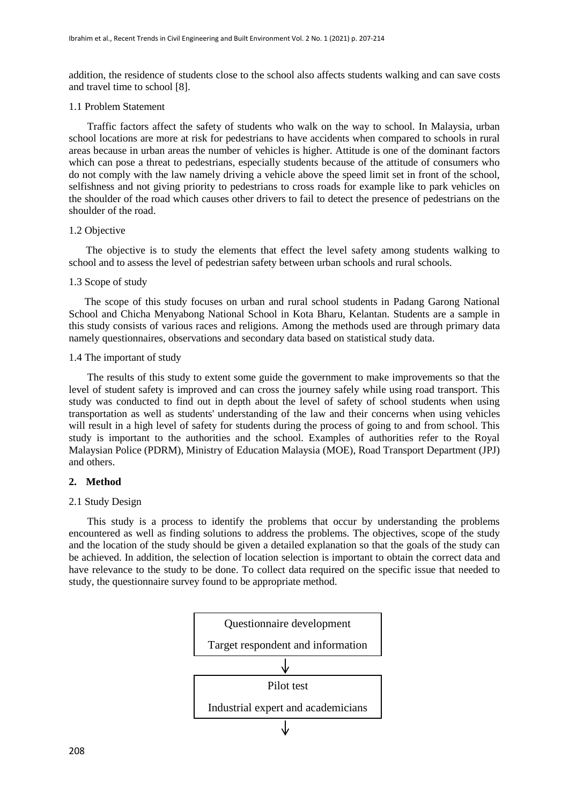addition, the residence of students close to the school also affects students walking and can save costs and travel time to school [8].

#### 1.1 Problem Statement

 Traffic factors affect the safety of students who walk on the way to school. In Malaysia, urban school locations are more at risk for pedestrians to have accidents when compared to schools in rural areas because in urban areas the number of vehicles is higher. Attitude is one of the dominant factors which can pose a threat to pedestrians, especially students because of the attitude of consumers who do not comply with the law namely driving a vehicle above the speed limit set in front of the school, selfishness and not giving priority to pedestrians to cross roads for example like to park vehicles on the shoulder of the road which causes other drivers to fail to detect the presence of pedestrians on the shoulder of the road.

#### 1.2 Objective

The objective is to study the elements that effect the level safety among students walking to school and to assess the level of pedestrian safety between urban schools and rural schools.

## 1.3 Scope of study

 The scope of this study focuses on urban and rural school students in Padang Garong National School and Chicha Menyabong National School in Kota Bharu, Kelantan. Students are a sample in this study consists of various races and religions. Among the methods used are through primary data namely questionnaires, observations and secondary data based on statistical study data.

#### 1.4 The important of study

 The results of this study to extent some guide the government to make improvements so that the level of student safety is improved and can cross the journey safely while using road transport. This study was conducted to find out in depth about the level of safety of school students when using transportation as well as students' understanding of the law and their concerns when using vehicles will result in a high level of safety for students during the process of going to and from school. This study is important to the authorities and the school. Examples of authorities refer to the Royal Malaysian Police (PDRM), Ministry of Education Malaysia (MOE), Road Transport Department (JPJ) and others.

## **2. Method**

#### 2.1 Study Design

 This study is a process to identify the problems that occur by understanding the problems encountered as well as finding solutions to address the problems. The objectives, scope of the study and the location of the study should be given a detailed explanation so that the goals of the study can be achieved. In addition, the selection of location selection is important to obtain the correct data and have relevance to the study to be done. To collect data required on the specific issue that needed to study, the questionnaire survey found to be appropriate method.

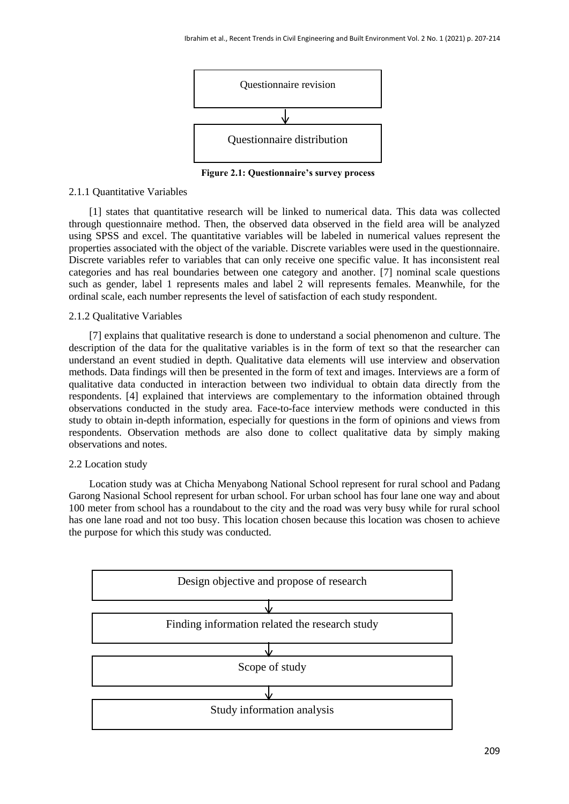

 **Figure 2.1: Questionnaire's survey process**

## 2.1.1 Quantitative Variables

[1] states that quantitative research will be linked to numerical data. This data was collected through questionnaire method. Then, the observed data observed in the field area will be analyzed using SPSS and excel. The quantitative variables will be labeled in numerical values represent the properties associated with the object of the variable. Discrete variables were used in the questionnaire. Discrete variables refer to variables that can only receive one specific value. It has inconsistent real categories and has real boundaries between one category and another. [7] nominal scale questions such as gender, label 1 represents males and label 2 will represents females. Meanwhile, for the ordinal scale, each number represents the level of satisfaction of each study respondent.

## 2.1.2 Qualitative Variables

[7] explains that qualitative research is done to understand a social phenomenon and culture. The description of the data for the qualitative variables is in the form of text so that the researcher can understand an event studied in depth. Qualitative data elements will use interview and observation methods. Data findings will then be presented in the form of text and images. Interviews are a form of qualitative data conducted in interaction between two individual to obtain data directly from the respondents. [4] explained that interviews are complementary to the information obtained through observations conducted in the study area. Face-to-face interview methods were conducted in this study to obtain in-depth information, especially for questions in the form of opinions and views from respondents. Observation methods are also done to collect qualitative data by simply making observations and notes.

## 2.2 Location study

Location study was at Chicha Menyabong National School represent for rural school and Padang Garong Nasional School represent for urban school. For urban school has four lane one way and about 100 meter from school has a roundabout to the city and the road was very busy while for rural school has one lane road and not too busy. This location chosen because this location was chosen to achieve the purpose for which this study was conducted.

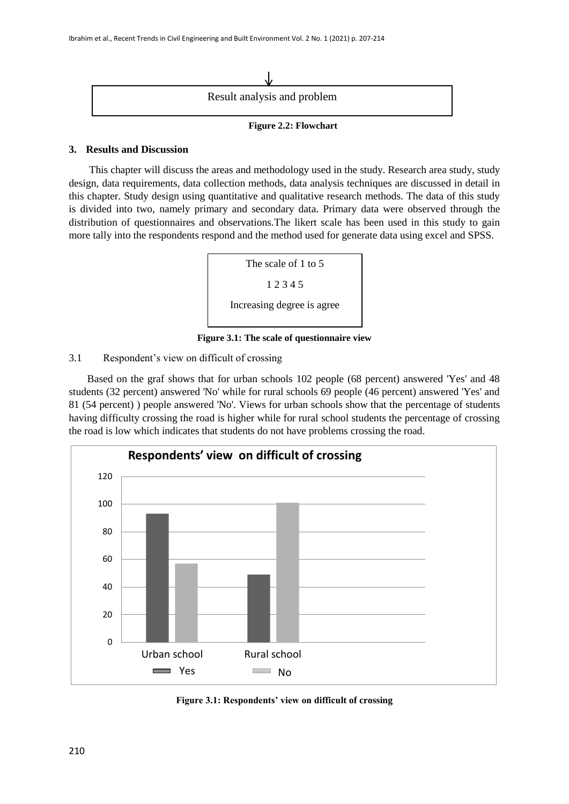

## **Figure 2.2: Flowchart**

## **3. Results and Discussion**

This chapter will discuss the areas and methodology used in the study. Research area study, study design, data requirements, data collection methods, data analysis techniques are discussed in detail in this chapter. Study design using quantitative and qualitative research methods. The data of this study is divided into two, namely primary and secondary data. Primary data were observed through the distribution of questionnaires and observations.The likert scale has been used in this study to gain more tally into the respondents respond and the method used for generate data using excel and SPSS.



## **Figure 3.1: The scale of questionnaire view**

## 3.1 Respondent's view on difficult of crossing

 Based on the graf shows that for urban schools 102 people (68 percent) answered 'Yes' and 48 students (32 percent) answered 'No' while for rural schools 69 people (46 percent) answered 'Yes' and 81 (54 percent) ) people answered 'No'. Views for urban schools show that the percentage of students having difficulty crossing the road is higher while for rural school students the percentage of crossing the road is low which indicates that students do not have problems crossing the road.



**Figure 3.1: Respondents' view on difficult of crossing**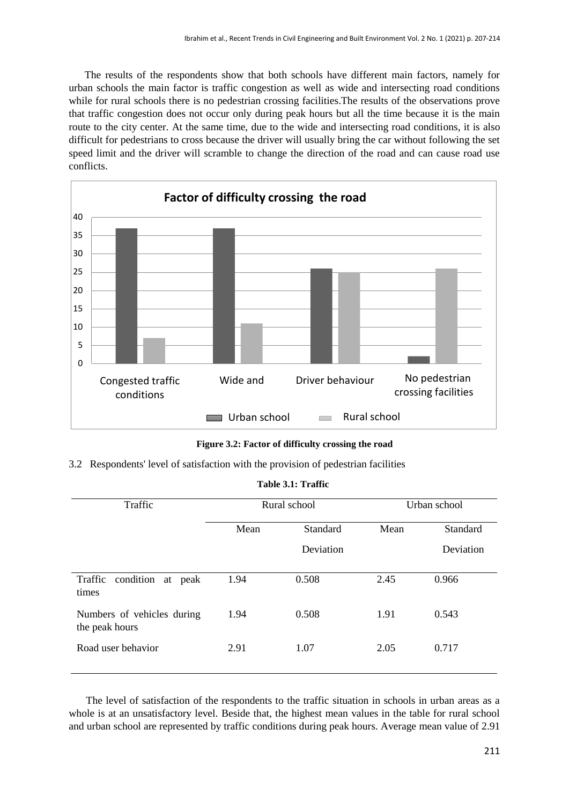The results of the respondents show that both schools have different main factors, namely for urban schools the main factor is traffic congestion as well as wide and intersecting road conditions while for rural schools there is no pedestrian crossing facilities.The results of the observations prove that traffic congestion does not occur only during peak hours but all the time because it is the main route to the city center. At the same time, due to the wide and intersecting road conditions, it is also difficult for pedestrians to cross because the driver will usually bring the car without following the set speed limit and the driver will scramble to change the direction of the road and can cause road use conflicts.



**Figure 3.2: Factor of difficulty crossing the road**

3.2 Respondents' level of satisfaction with the provision of pedestrian facilities

| <b>Table 3.1: Traffic</b> |
|---------------------------|
|                           |

| Traffic                                      | Rural school |           |      | Urban school    |
|----------------------------------------------|--------------|-----------|------|-----------------|
|                                              | Mean         | Standard  | Mean | <b>Standard</b> |
|                                              |              | Deviation |      | Deviation       |
| Traffic<br>condition<br>at peak<br>times     | 1.94         | 0.508     | 2.45 | 0.966           |
| Numbers of vehicles during<br>the peak hours | 1.94         | 0.508     | 1.91 | 0.543           |
| Road user behavior                           | 2.91         | 1.07      | 2.05 | 0.717           |

The level of satisfaction of the respondents to the traffic situation in schools in urban areas as a whole is at an unsatisfactory level. Beside that, the highest mean values in the table for rural school and urban school are represented by traffic conditions during peak hours. Average mean value of 2.91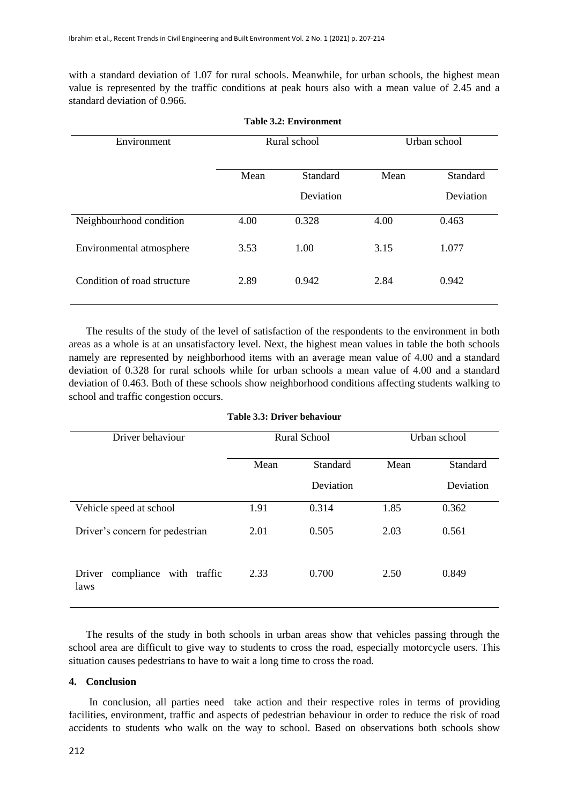with a standard deviation of 1.07 for rural schools. Meanwhile, for urban schools, the highest mean value is represented by the traffic conditions at peak hours also with a mean value of 2.45 and a standard deviation of 0.966.

| Environment                 | Rural school |           |      | Urban school |
|-----------------------------|--------------|-----------|------|--------------|
|                             | Mean         | Standard  | Mean | Standard     |
|                             |              | Deviation |      | Deviation    |
| Neighbourhood condition     | 4.00         | 0.328     | 4.00 | 0.463        |
| Environmental atmosphere    | 3.53         | 1.00      | 3.15 | 1.077        |
| Condition of road structure | 2.89         | 0.942     | 2.84 | 0.942        |

The results of the study of the level of satisfaction of the respondents to the environment in both areas as a whole is at an unsatisfactory level. Next, the highest mean values in table the both schools namely are represented by neighborhood items with an average mean value of 4.00 and a standard deviation of 0.328 for rural schools while for urban schools a mean value of 4.00 and a standard deviation of 0.463. Both of these schools show neighborhood conditions affecting students walking to school and traffic congestion occurs.

| Driver behaviour                             | <b>Rural School</b> |           |      | Urban school |
|----------------------------------------------|---------------------|-----------|------|--------------|
|                                              | Mean                | Standard  | Mean | Standard     |
|                                              |                     | Deviation |      | Deviation    |
| Vehicle speed at school                      | 1.91                | 0.314     | 1.85 | 0.362        |
| Driver's concern for pedestrian              | 2.01                | 0.505     | 2.03 | 0.561        |
| compliance<br>with traffic<br>Driver<br>laws | 2.33                | 0.700     | 2.50 | 0.849        |

| Table 3.3: Driver behaviour |  |  |
|-----------------------------|--|--|
|-----------------------------|--|--|

The results of the study in both schools in urban areas show that vehicles passing through the school area are difficult to give way to students to cross the road, especially motorcycle users. This situation causes pedestrians to have to wait a long time to cross the road.

## **4. Conclusion**

In conclusion, all parties need take action and their respective roles in terms of providing facilities, environment, traffic and aspects of pedestrian behaviour in order to reduce the risk of road accidents to students who walk on the way to school. Based on observations both schools show